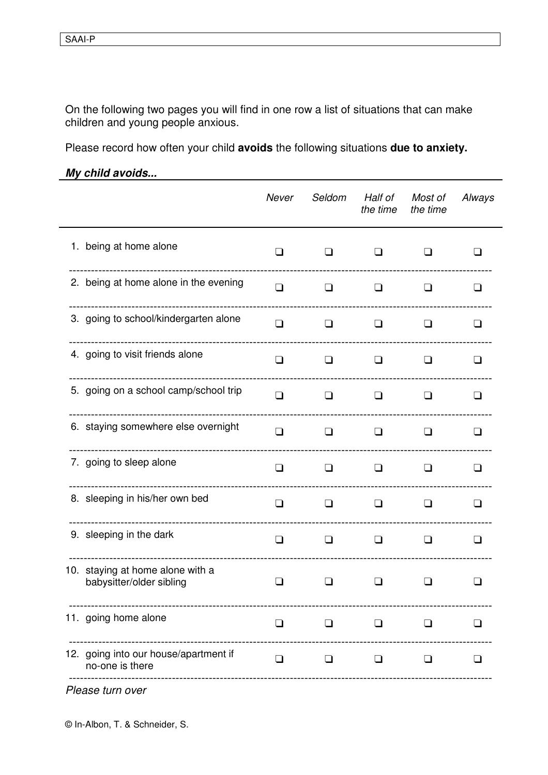On the following two pages you will find in one row a list of situations that can make children and young people anxious.

Please record how often your child avoids the following situations due to anxiety.

My child avoids...

|                                                              | Never  | Seldom                    | Half of<br>the time | Most of<br>the time | Always  |
|--------------------------------------------------------------|--------|---------------------------|---------------------|---------------------|---------|
| 1. being at home alone                                       | $\Box$ | ❏                         | ⊔                   | ப                   | ப       |
| 2. being at home alone in the evening                        | $\Box$ | $\Box$                    | $\Box$              | ப                   | ப       |
| 3. going to school/kindergarten alone                        | $\Box$ | $\Box$<br>--------------- | $\Box$              | ப                   | ப       |
| 4. going to visit friends alone                              | $\Box$ | ப                         | $\perp$             | $\perp$             | $\perp$ |
| 5. going on a school camp/school trip                        | $\Box$ | ❏                         | ப                   | $\perp$             | ப       |
| 6. staying somewhere else overnight                          | $\Box$ | ❏                         | ப                   | l 1                 | l 1     |
| 7. going to sleep alone                                      | ❏      | ❏                         | ப                   | l 1                 | l 1     |
| 8. sleeping in his/her own bed                               | $\Box$ | ∣ 1                       | $\perp$             | l 1                 | l 1     |
| 9. sleeping in the dark                                      | $\Box$ | ப                         | ❏                   | l 1                 | l 1     |
| 10. staying at home alone with a<br>babysitter/older sibling | ப      | H                         | l 1                 | <b>1</b>            | H       |
| 11. going home alone                                         | $\Box$ | $\Box$                    | $\Box$              | ப                   | l 1     |
| 12. going into our house/apartment if<br>no-one is there     | $\Box$ | ❏                         | ப                   | ப                   | l 1     |
| Please turn over                                             |        |                           |                     |                     |         |